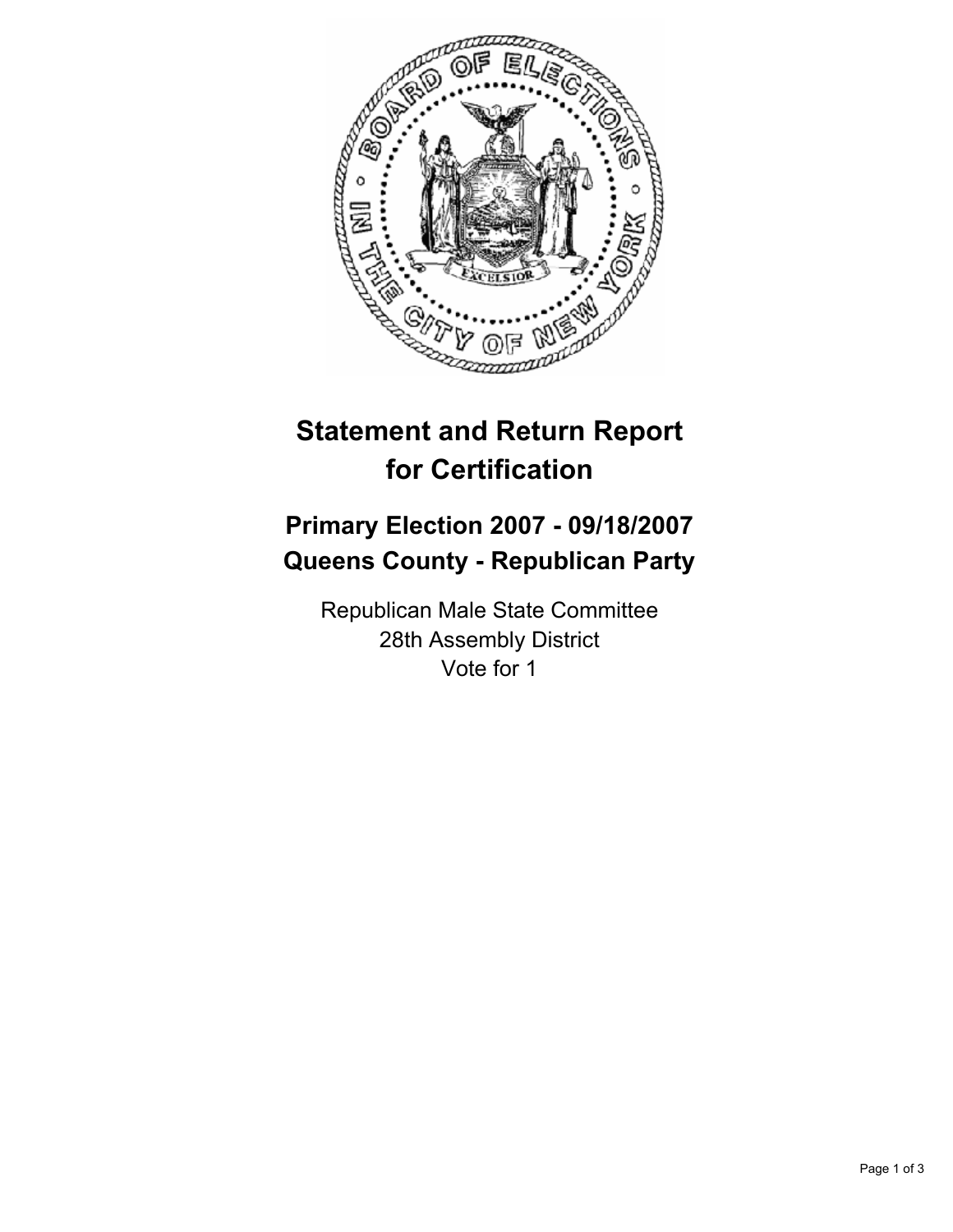

## **Statement and Return Report for Certification**

## **Primary Election 2007 - 09/18/2007 Queens County - Republican Party**

Republican Male State Committee 28th Assembly District Vote for 1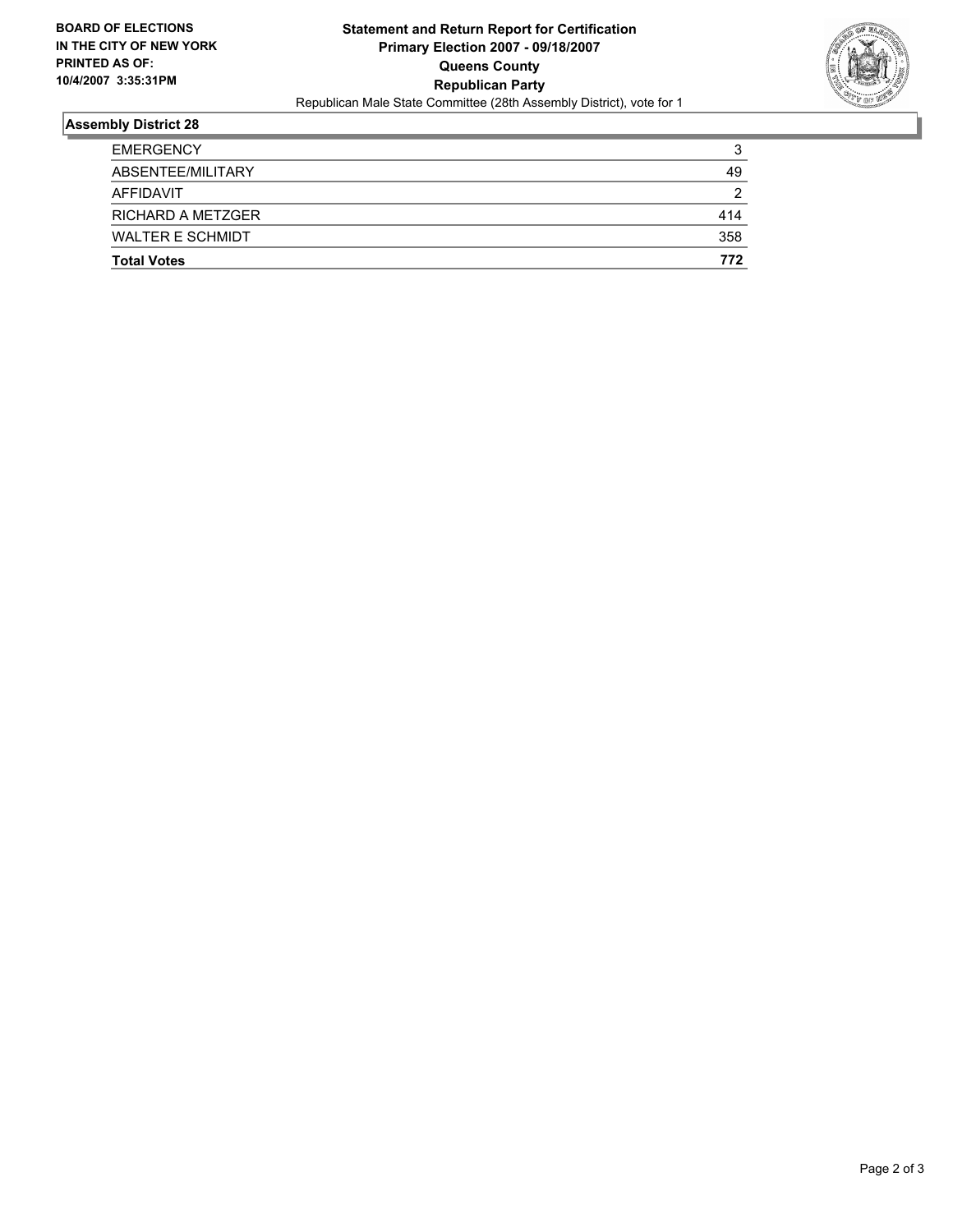

## **Assembly District 28**

| <b>EMERGENCY</b>         | ີ<br>w |
|--------------------------|--------|
| ABSENTEE/MILITARY        | 49     |
| AFFIDAVIT                | ◠      |
| <b>RICHARD A METZGER</b> | 414    |
| <b>WALTER E SCHMIDT</b>  | 358    |
| <b>Total Votes</b>       | 772    |